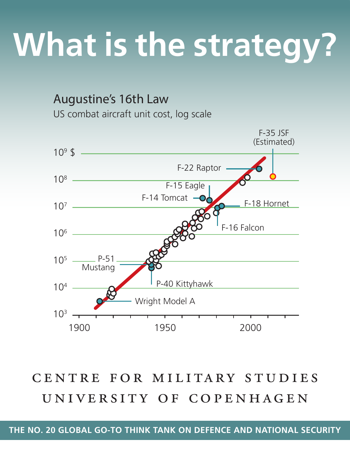## **What is the strategy?**

Augustine's 16th Law US combat aircraft unit cost, log scale



centre for military studies university of copenhagen

**The no. 20 Global go-to think tank on defence and NAtionAL security**